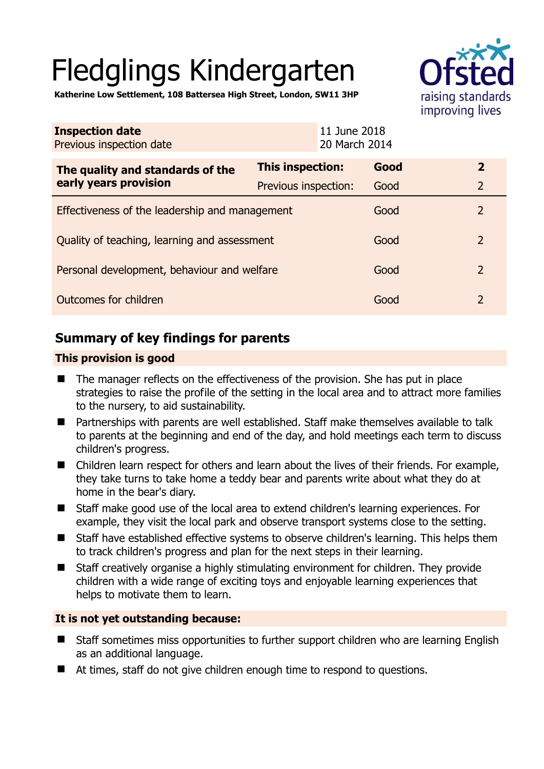# Fledglings Kindergarten



**Katherine Low Settlement, 108 Battersea High Street, London, SW11 3HP** 

| <b>Inspection date</b><br>Previous inspection date        |                      | 11 June 2018<br>20 March 2014 |                |
|-----------------------------------------------------------|----------------------|-------------------------------|----------------|
| The quality and standards of the<br>early years provision | This inspection:     | Good                          | $\overline{2}$ |
|                                                           | Previous inspection: | Good                          | $\overline{2}$ |
| Effectiveness of the leadership and management            |                      | Good                          | $\overline{2}$ |
| Quality of teaching, learning and assessment              |                      | Good                          | $\mathcal{P}$  |
| Personal development, behaviour and welfare               |                      | Good                          | $\overline{2}$ |
| Outcomes for children                                     |                      | Good                          | $\overline{2}$ |

# **Summary of key findings for parents**

# **This provision is good**

- The manager reflects on the effectiveness of the provision. She has put in place strategies to raise the profile of the setting in the local area and to attract more families to the nursery, to aid sustainability.
- Partnerships with parents are well established. Staff make themselves available to talk to parents at the beginning and end of the day, and hold meetings each term to discuss children's progress.
- Children learn respect for others and learn about the lives of their friends. For example, they take turns to take home a teddy bear and parents write about what they do at home in the bear's diary.
- Staff make good use of the local area to extend children's learning experiences. For example, they visit the local park and observe transport systems close to the setting.
- Staff have established effective systems to observe children's learning. This helps them to track children's progress and plan for the next steps in their learning.
- Staff creatively organise a highly stimulating environment for children. They provide children with a wide range of exciting toys and enjoyable learning experiences that helps to motivate them to learn.

# **It is not yet outstanding because:**

- Staff sometimes miss opportunities to further support children who are learning English as an additional language.
- At times, staff do not give children enough time to respond to questions.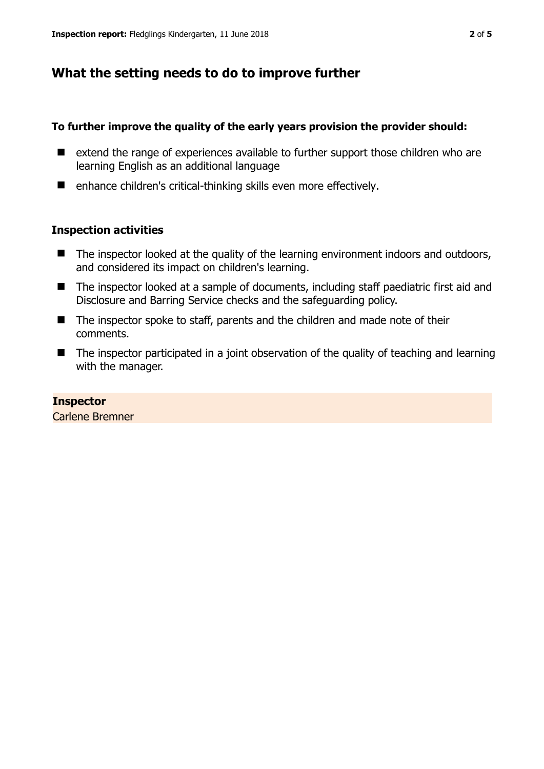# **What the setting needs to do to improve further**

### **To further improve the quality of the early years provision the provider should:**

- extend the range of experiences available to further support those children who are learning English as an additional language
- enhance children's critical-thinking skills even more effectively.

## **Inspection activities**

- $\blacksquare$  The inspector looked at the quality of the learning environment indoors and outdoors, and considered its impact on children's learning.
- The inspector looked at a sample of documents, including staff paediatric first aid and Disclosure and Barring Service checks and the safeguarding policy.
- The inspector spoke to staff, parents and the children and made note of their comments.
- The inspector participated in a joint observation of the quality of teaching and learning with the manager.

#### **Inspector**

Carlene Bremner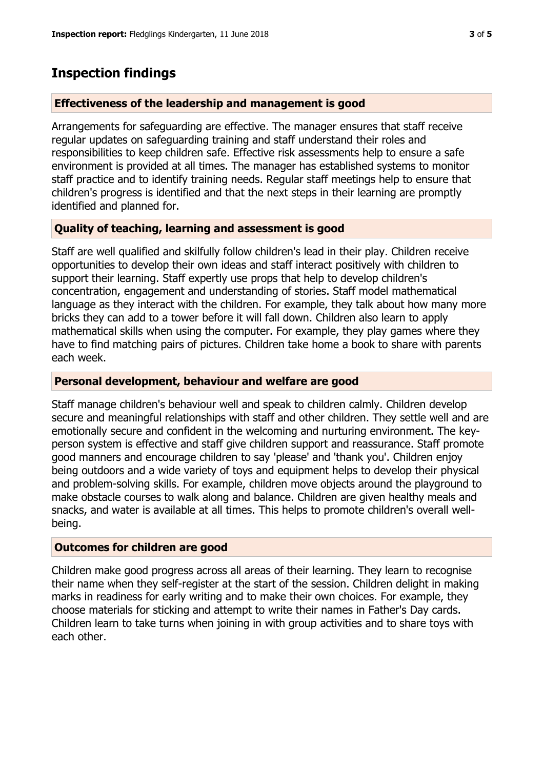# **Inspection findings**

## **Effectiveness of the leadership and management is good**

Arrangements for safeguarding are effective. The manager ensures that staff receive regular updates on safeguarding training and staff understand their roles and responsibilities to keep children safe. Effective risk assessments help to ensure a safe environment is provided at all times. The manager has established systems to monitor staff practice and to identify training needs. Regular staff meetings help to ensure that children's progress is identified and that the next steps in their learning are promptly identified and planned for.

# **Quality of teaching, learning and assessment is good**

Staff are well qualified and skilfully follow children's lead in their play. Children receive opportunities to develop their own ideas and staff interact positively with children to support their learning. Staff expertly use props that help to develop children's concentration, engagement and understanding of stories. Staff model mathematical language as they interact with the children. For example, they talk about how many more bricks they can add to a tower before it will fall down. Children also learn to apply mathematical skills when using the computer. For example, they play games where they have to find matching pairs of pictures. Children take home a book to share with parents each week.

## **Personal development, behaviour and welfare are good**

Staff manage children's behaviour well and speak to children calmly. Children develop secure and meaningful relationships with staff and other children. They settle well and are emotionally secure and confident in the welcoming and nurturing environment. The keyperson system is effective and staff give children support and reassurance. Staff promote good manners and encourage children to say 'please' and 'thank you'. Children enjoy being outdoors and a wide variety of toys and equipment helps to develop their physical and problem-solving skills. For example, children move objects around the playground to make obstacle courses to walk along and balance. Children are given healthy meals and snacks, and water is available at all times. This helps to promote children's overall wellbeing.

## **Outcomes for children are good**

Children make good progress across all areas of their learning. They learn to recognise their name when they self-register at the start of the session. Children delight in making marks in readiness for early writing and to make their own choices. For example, they choose materials for sticking and attempt to write their names in Father's Day cards. Children learn to take turns when joining in with group activities and to share toys with each other.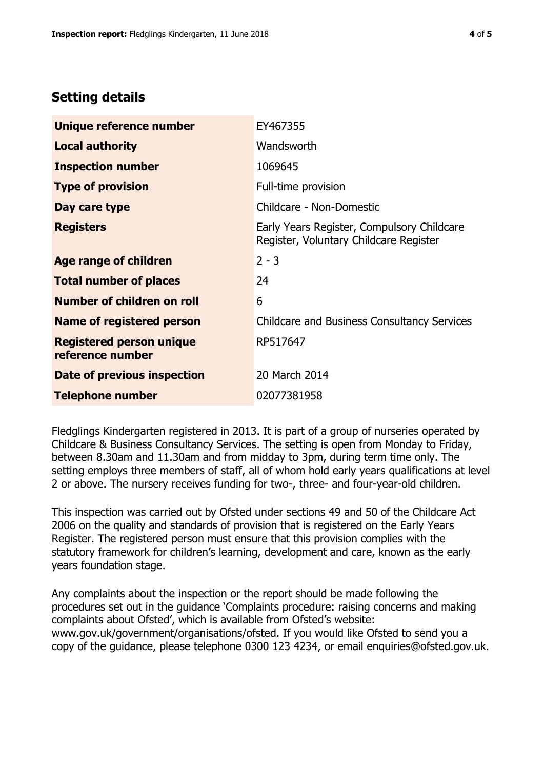# **Setting details**

| Unique reference number                             | EY467355                                                                             |  |
|-----------------------------------------------------|--------------------------------------------------------------------------------------|--|
| Local authority                                     | Wandsworth                                                                           |  |
| <b>Inspection number</b>                            | 1069645                                                                              |  |
| <b>Type of provision</b>                            | Full-time provision                                                                  |  |
| Day care type                                       | Childcare - Non-Domestic                                                             |  |
| <b>Registers</b>                                    | Early Years Register, Compulsory Childcare<br>Register, Voluntary Childcare Register |  |
| Age range of children                               | $2 - 3$                                                                              |  |
| <b>Total number of places</b>                       | 24                                                                                   |  |
| Number of children on roll                          | 6                                                                                    |  |
| Name of registered person                           | <b>Childcare and Business Consultancy Services</b>                                   |  |
| <b>Registered person unique</b><br>reference number | RP517647                                                                             |  |
| Date of previous inspection                         | 20 March 2014                                                                        |  |
| <b>Telephone number</b>                             | 02077381958                                                                          |  |

Fledglings Kindergarten registered in 2013. It is part of a group of nurseries operated by Childcare & Business Consultancy Services. The setting is open from Monday to Friday, between 8.30am and 11.30am and from midday to 3pm, during term time only. The setting employs three members of staff, all of whom hold early years qualifications at level 2 or above. The nursery receives funding for two-, three- and four-year-old children.

This inspection was carried out by Ofsted under sections 49 and 50 of the Childcare Act 2006 on the quality and standards of provision that is registered on the Early Years Register. The registered person must ensure that this provision complies with the statutory framework for children's learning, development and care, known as the early years foundation stage.

Any complaints about the inspection or the report should be made following the procedures set out in the guidance 'Complaints procedure: raising concerns and making complaints about Ofsted', which is available from Ofsted's website: www.gov.uk/government/organisations/ofsted. If you would like Ofsted to send you a copy of the guidance, please telephone 0300 123 4234, or email enquiries@ofsted.gov.uk.